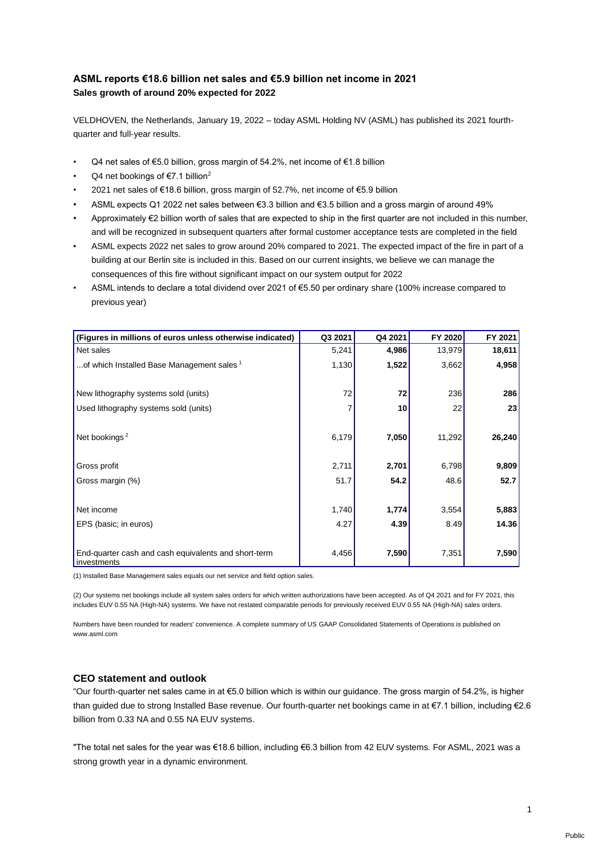# **ASML reports €18.6 billion net sales and €5.9 billion net income in 2021 Sales growth of around 20% expected for 2022**

VELDHOVEN, the Netherlands, January 19, 2022 – today ASML Holding NV (ASML) has published its 2021 fourthquarter and full-year results.

- Q4 net sales of €5.0 billion, gross margin of 54.2%, net income of €1.8 billion
- Q4 net bookings of  $E$ 7.1 billion<sup>2</sup>
- 2021 net sales of €18.6 billion, gross margin of 52.7%, net income of €5.9 billion
- ASML expects Q1 2022 net sales between €3.3 billion and €3.5 billion and a gross margin of around 49%
- Approximately €2 billion worth of sales that are expected to ship in the first quarter are not included in this number, and will be recognized in subsequent quarters after formal customer acceptance tests are completed in the field
- ASML expects 2022 net sales to grow around 20% compared to 2021. The expected impact of the fire in part of a building at our Berlin site is included in this. Based on our current insights, we believe we can manage the consequences of this fire without significant impact on our system output for 2022
- ASML intends to declare a total dividend over 2021 of €5.50 per ordinary share (100% increase compared to previous year)

| (Figures in millions of euros unless otherwise indicated)           | Q3 2021       | Q4 2021       | FY 2020       | FY 2021        |
|---------------------------------------------------------------------|---------------|---------------|---------------|----------------|
| Net sales                                                           | 5,241         | 4,986         | 13,979        | 18,611         |
| of which Installed Base Management sales 1                          | 1,130         | 1,522         | 3,662         | 4,958          |
|                                                                     |               |               |               |                |
| New lithography systems sold (units)                                | 72            | 72            | 236           | 286            |
| Used lithography systems sold (units)                               |               | 10            | 22            | 23             |
| Net bookings <sup>2</sup>                                           | 6,179         | 7,050         | 11,292        | 26,240         |
| Gross profit                                                        | 2,711         | 2,701         | 6,798         | 9,809          |
| Gross margin (%)                                                    | 51.7          | 54.2          | 48.6          | 52.7           |
| Net income<br>EPS (basic; in euros)                                 | 1,740<br>4.27 | 1,774<br>4.39 | 3,554<br>8.49 | 5,883<br>14.36 |
| End-quarter cash and cash equivalents and short-term<br>investments | 4,456         | 7,590         | 7,351         | 7,590          |

(1) Installed Base Management sales equals our net service and field option sales.

(2) Our systems net bookings include all system sales orders for which written authorizations have been accepted. As of Q4 2021 and for FY 2021, this includes EUV 0.55 NA (High-NA) systems. We have not restated comparable periods for previously received EUV 0.55 NA (High-NA) sales orders.

Numbers have been rounded for readers' convenience. A complete summary of US GAAP Consolidated Statements of Operations is published on www.asml.com

# **CEO statement and outlook**

"Our fourth-quarter net sales came in at €5.0 billion which is within our guidance. The gross margin of 54.2%, is higher than guided due to strong Installed Base revenue. Our fourth-quarter net bookings came in at €7.1 billion, including €2.6 billion from 0.33 NA and 0.55 NA EUV systems.

"The total net sales for the year was €18.6 billion, including €6.3 billion from 42 EUV systems. For ASML, 2021 was a strong growth year in a dynamic environment.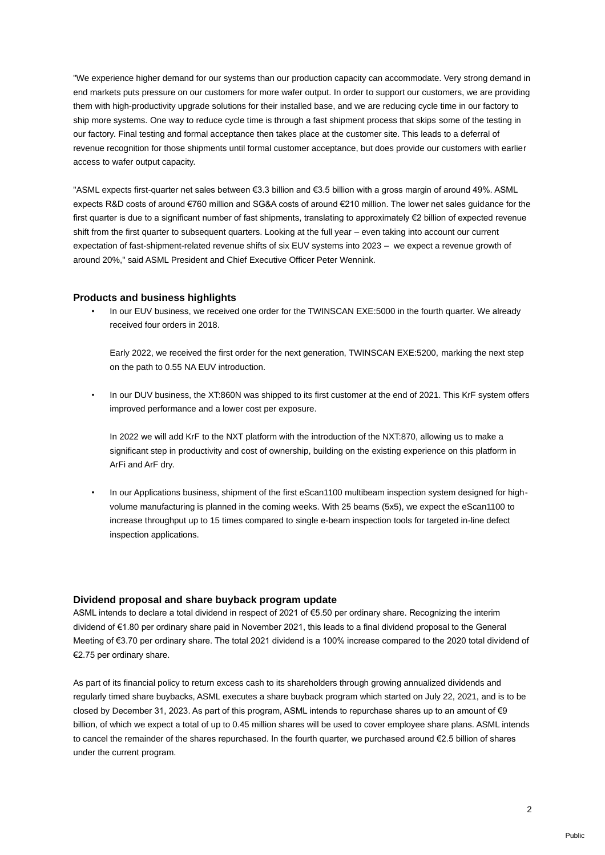"We experience higher demand for our systems than our production capacity can accommodate. Very strong demand in end markets puts pressure on our customers for more wafer output. In order to support our customers, we are providing them with high-productivity upgrade solutions for their installed base, and we are reducing cycle time in our factory to ship more systems. One way to reduce cycle time is through a fast shipment process that skips some of the testing in our factory. Final testing and formal acceptance then takes place at the customer site. This leads to a deferral of revenue recognition for those shipments until formal customer acceptance, but does provide our customers with earlier access to wafer output capacity.

"ASML expects first-quarter net sales between €3.3 billion and €3.5 billion with a gross margin of around 49%. ASML expects R&D costs of around €760 million and SG&A costs of around €210 million. The lower net sales guidance for the first quarter is due to a significant number of fast shipments, translating to approximately €2 billion of expected revenue shift from the first quarter to subsequent quarters. Looking at the full year – even taking into account our current expectation of fast-shipment-related revenue shifts of six EUV systems into 2023 – we expect a revenue growth of around 20%," said ASML President and Chief Executive Officer Peter Wennink.

#### **Products and business highlights**

In our EUV business, we received one order for the TWINSCAN EXE:5000 in the fourth quarter. We already received four orders in 2018.

Early 2022, we received the first order for the next generation, TWINSCAN EXE:5200, marking the next step on the path to 0.55 NA EUV introduction.

• In our DUV business, the XT:860N was shipped to its first customer at the end of 2021. This KrF system offers improved performance and a lower cost per exposure.

In 2022 we will add KrF to the NXT platform with the introduction of the NXT:870, allowing us to make a significant step in productivity and cost of ownership, building on the existing experience on this platform in ArFi and ArF dry.

• In our Applications business, shipment of the first eScan1100 multibeam inspection system designed for highvolume manufacturing is planned in the coming weeks. With 25 beams (5x5), we expect the eScan1100 to increase throughput up to 15 times compared to single e-beam inspection tools for targeted in-line defect inspection applications.

#### **Dividend proposal and share buyback program update**

ASML intends to declare a total dividend in respect of 2021 of €5.50 per ordinary share. Recognizing the interim dividend of €1.80 per ordinary share paid in November 2021, this leads to a final dividend proposal to the General Meeting of €3.70 per ordinary share. The total 2021 dividend is a 100% increase compared to the 2020 total dividend of €2.75 per ordinary share.

As part of its financial policy to return excess cash to its shareholders through growing annualized dividends and regularly timed share buybacks, ASML executes a share buyback program which started on July 22, 2021, and is to be closed by December 31, 2023. As part of this program, ASML intends to repurchase shares up to an amount of €9 billion, of which we expect a total of up to 0.45 million shares will be used to cover employee share plans. ASML intends to cancel the remainder of the shares repurchased. In the fourth quarter, we purchased around €2.5 billion of shares under the current program.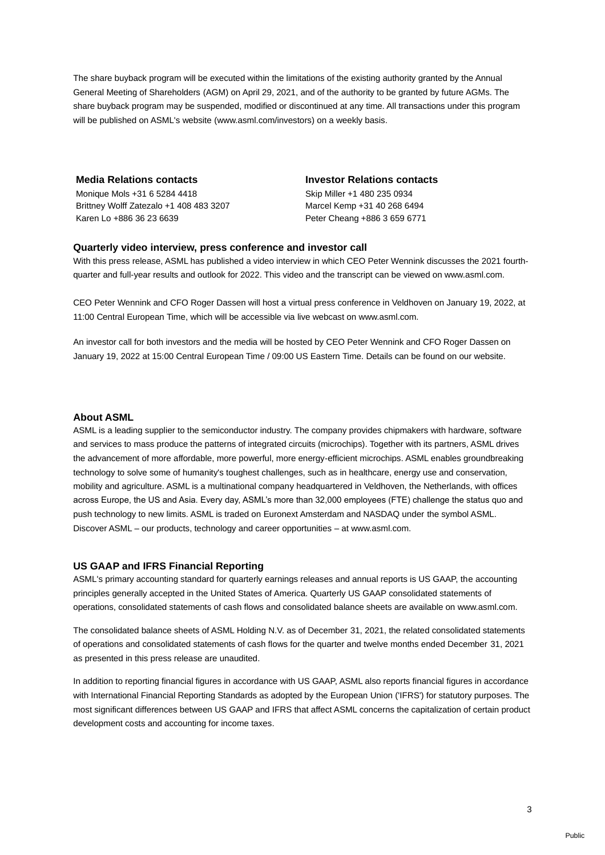The share buyback program will be executed within the limitations of the existing authority granted by the Annual General Meeting of Shareholders (AGM) on April 29, 2021, and of the authority to be granted by future AGMs. The share buyback program may be suspended, modified or discontinued at any time. All transactions under this program will be published on ASML's website (www.asml.com/investors) on a weekly basis.

Monique Mols +31 6 5284 4418 Skip Miller +1 480 235 0934 Brittney Wolff Zatezalo +1 408 483 3207 Marcel Kemp +31 40 268 6494 Karen Lo +886 36 23 6639 Peter Cheang +886 3 659 6771

### **Media Relations contacts Investor Relations contacts**

### **Quarterly video interview, press conference and investor call**

With this press release, ASML has published a video interview in which CEO Peter Wennink discusses the 2021 fourthquarter and full-year results and outlook for 2022. This video and the transcript can be viewed on www.asml.com.

CEO Peter Wennink and CFO Roger Dassen will host a virtual press conference in Veldhoven on January 19, 2022, at 11:00 Central European Time, which will be accessible via live webcast on www.asml.com.

An investor call for both investors and the media will be hosted by CEO Peter Wennink and CFO Roger Dassen on January 19, 2022 at 15:00 Central European Time / 09:00 US Eastern Time. Details can be found on our website.

## **About ASML**

ASML is a leading supplier to the semiconductor industry. The company provides chipmakers with hardware, software and services to mass produce the patterns of integrated circuits (microchips). Together with its partners, ASML drives the advancement of more affordable, more powerful, more energy-efficient microchips. ASML enables groundbreaking technology to solve some of humanity's toughest challenges, such as in healthcare, energy use and conservation, mobility and agriculture. ASML is a multinational company headquartered in Veldhoven, the Netherlands, with offices across Europe, the US and Asia. Every day, ASML's more than 32,000 employees (FTE) challenge the status quo and push technology to new limits. ASML is traded on Euronext Amsterdam and NASDAQ under the symbol ASML. Discover ASML – our products, technology and career opportunities – at www.asml.com.

# **US GAAP and IFRS Financial Reporting**

ASML's primary accounting standard for quarterly earnings releases and annual reports is US GAAP, the accounting principles generally accepted in the United States of America. Quarterly US GAAP consolidated statements of operations, consolidated statements of cash flows and consolidated balance sheets are available on www.asml.com.

The consolidated balance sheets of ASML Holding N.V. as of December 31, 2021, the related consolidated statements of operations and consolidated statements of cash flows for the quarter and twelve months ended December 31, 2021 as presented in this press release are unaudited.

In addition to reporting financial figures in accordance with US GAAP, ASML also reports financial figures in accordance with International Financial Reporting Standards as adopted by the European Union ('IFRS') for statutory purposes. The most significant differences between US GAAP and IFRS that affect ASML concerns the capitalization of certain product development costs and accounting for income taxes.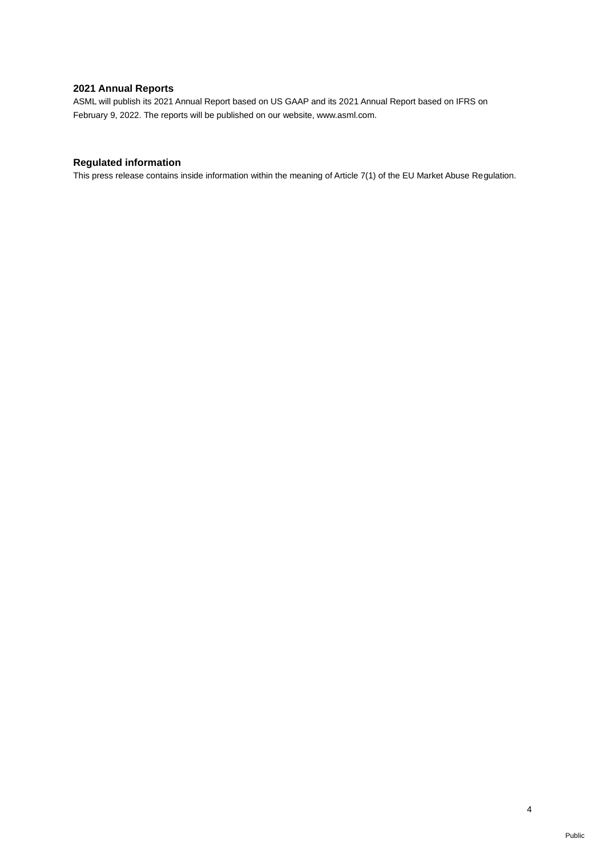# **2021 Annual Reports**

ASML will publish its 2021 Annual Report based on US GAAP and its 2021 Annual Report based on IFRS on February 9, 2022. The reports will be published on our website, www.asml.com.

# **Regulated information**

This press release contains inside information within the meaning of Article 7(1) of the EU Market Abuse Regulation.